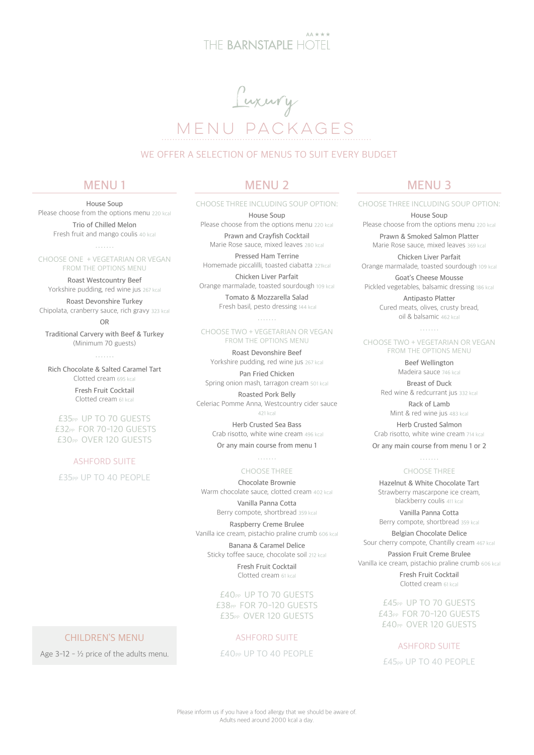# THE BARNSTAPIE HOTEL



## WE OFFER A SELECTION OF MENUS TO SUIT EVERY BUDGET

## **MENU 1**

**House Soup**  Please choose from the options menu 220 kcal

**Trio of Chilled Melon** Fresh fruit and mango coulis 40 kcal

CHOOSE ONE + VEGETARIAN OR VEGAN FROM THE OPTIONS MENU

**Roast Westcountry Beef** Yorkshire pudding, red wine jus 267 kcal

**Roast Devonshire Turkey** Chipolata, cranberry sauce, rich gravy 323 kcal **OR**

**Traditional Carvery with Beef & Turkey** (Minimum 70 guests)

alah da

**Rich Chocolate & Salted Caramel Tart** Clotted cream 695 kcal

> **Fresh Fruit Cocktail** Clotted cream 61 kcal

£35PP UP TO 70 GUESTS £32PP FOR 70-120 GUESTS £30PP OVER 120 GUESTS

## ASHFORD SUITE

£35pp UP TO 40 PEOPLE

# **MENU 2**

CHOOSE THREE INCLUDING SOUP OPTION:

**House Soup**  Please choose from the options menu 220 kcal **Prawn and Crayfish Cocktail** Marie Rose sauce, mixed leaves 280 kcal **Pressed Ham Terrine**

Homemade piccalilli, toasted ciabatta 221kcal **Chicken Liver Parfait**

Orange marmalade, toasted sourdough 109 kcal **Tomato & Mozzarella Salad**

Fresh basil, pesto dressing 144 kcal 1111111

#### CHOOSE TWO + VEGETARIAN OR VEGAN FROM THE OPTIONS MENU

**Roast Devonshire Beef** Yorkshire pudding, red wine jus 267 kcal

**Pan Fried Chicken** Spring onion mash, tarragon cream 501 kcal

**Roasted Pork Belly** Celeriac Pomme Anna, Westcountry cider sauce 421 kcal

> **Herb Crusted Sea Bass** Crab risotto, white wine cream 496 kcal

## **Or any main course from menu 1**

. . . . . . .

CHOOSE THREE

**Chocolate Brownie** Warm chocolate sauce, clotted cream 402 kcal

> **Vanilla Panna Cotta** Berry compote, shortbread 359 kcal

**Raspberry Creme Brulee**  Vanilla ice cream, pistachio praline crumb 606 kcal

**Banana & Caramel Delice** Sticky toffee sauce, chocolate soil 212 kcal

> **Fresh Fruit Cocktail** Clotted cream 61 kcal

£40PP UP TO 70 GUESTS £38pp FOR 70-120 GUESTS £35PP OVER 120 GUESTS

## ASHFORD SUITE

£40PP UP TO 40 PEOPLE

# **MENU 3**

CHOOSE THREE INCLUDING SOUP OPTION:

**House Soup**  Please choose from the options menu 220 kcal

**Prawn & Smoked Salmon Platter** Marie Rose sauce, mixed leaves 369 kcal

**Chicken Liver Parfait** Orange marmalade, toasted sourdough 109 kcal

**Goat's Cheese Mousse** Pickled vegetables, balsamic dressing 186 kcal

> **Antipasto Platter** Cured meats, olives, crusty bread, oil & balsamic 462 kcal

#### $1.1.1.1.1$ CHOOSE TWO + VEGETARIAN OR VEGAN FROM THE OPTIONS MENU

**Beef Wellington** Madeira sauce 746 kcal **Breast of Duck**

Red wine & redcurrant jus 332 kcal **Rack of Lamb**

Mint & red wine jus 483 kcal

**Herb Crusted Salmon** Crab risotto, white wine cream 714 kcal **Or any main course from menu 1 or 2**

## $\ldots$  . . . . . CHOOSE THREE

**Hazelnut & White Chocolate Tart** Strawberry mascarpone ice cream, blackberry coulis 411 kcal

**Vanilla Panna Cotta** Berry compote, shortbread 359 kcal

**Belgian Chocolate Delice** Sour cherry compote, Chantilly cream 467 kcal

**Passion Fruit Creme Brulee** Vanilla ice cream, pistachio praline crumb 606 kcal

> **Fresh Fruit Cocktail** Clotted cream 61 kcal

£45PP UP TO 70 GUESTS £43PP FOR 70-120 GUESTS £40PP OVER 120 GUESTS

ASHFORD SUITE £45<sub>PP</sub> UP TO 40 PEOPLE

## CHILDREN'S MENU

Age  $3-12 - \frac{1}{2}$  price of the adults menu.